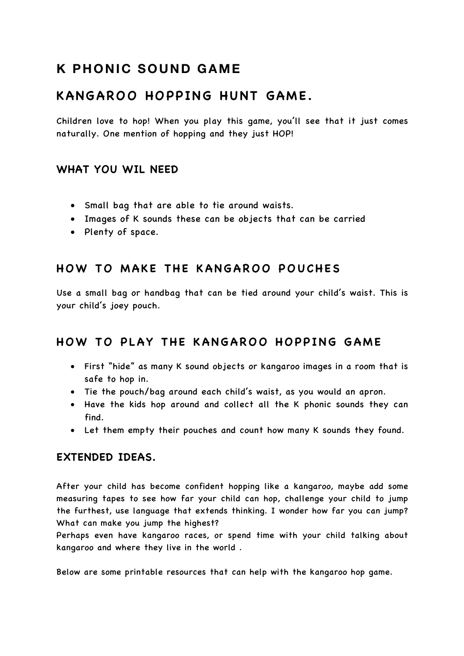# **K PHONIC SOUND GAME**

## **KANGAROO HOPPING HUNT GAME.**

Children love to hop! When you play this game, you'll see that it just comes naturally. One mention of hopping and they just HOP!

#### **WHAT YOU WIL NEED**

- Small bag that are able to tie around waists.
- Images of K sounds these can be objects that can be carried
- Plenty of space.

## **HOW TO MAKE THE KANGAROO POUCHES**

Use a small bag or handbag that can be tied around your child's waist. This is your child's joey pouch.

### **HOW TO PLAY THE KANGAROO HOPPING GAME**

- First "hide" as many K sound objects or kangaroo images in a room that is safe to hop in.
- Tie the pouch/bag around each child's waist, as you would an apron.
- Have the kids hop around and collect all the K phonic sounds they can find.
- Let them empty their pouches and count how many K sounds they found.

#### **EXTENDED IDEAS.**

After your child has become confident hopping like a kangaroo, maybe add some measuring tapes to see how far your child can hop, challenge your child to jump the furthest, use language that extends thinking. I wonder how far you can jump? What can make you jump the highest?

Perhaps even have kangaroo races, or spend time with your child talking about kangaroo and where they live in the world .

Below are some printable resources that can help with the kangaroo hop game.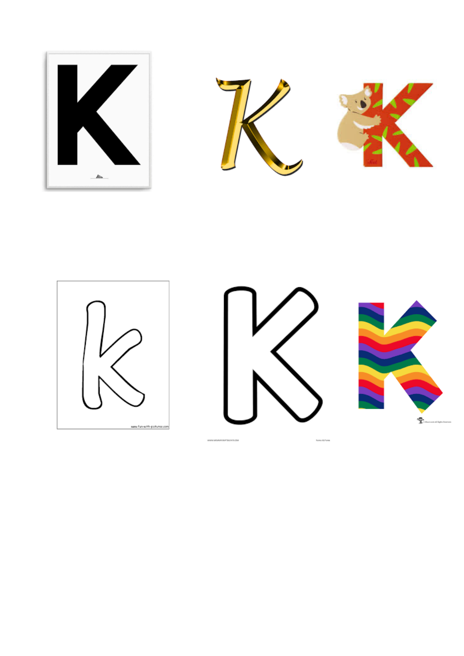